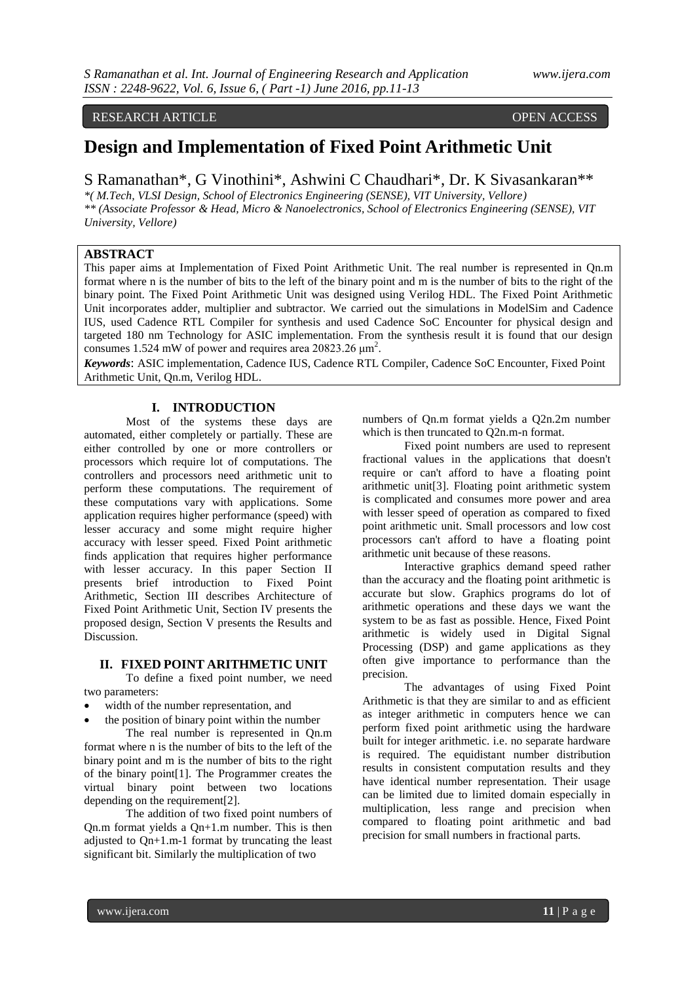## RESEARCH ARTICLE **CONSERVERS** OPEN ACCESS

# **Design and Implementation of Fixed Point Arithmetic Unit**

# S Ramanathan\*, G Vinothini\*, Ashwini C Chaudhari\*, Dr. K Sivasankaran\*\*

*\*( M.Tech, VLSI Design, School of Electronics Engineering (SENSE), VIT University, Vellore) \*\* (Associate Professor & Head, Micro & Nanoelectronics, School of Electronics Engineering (SENSE), VIT University, Vellore)*

# **ABSTRACT**

This paper aims at Implementation of Fixed Point Arithmetic Unit. The real number is represented in Qn.m format where n is the number of bits to the left of the binary point and m is the number of bits to the right of the binary point. The Fixed Point Arithmetic Unit was designed using Verilog HDL. The Fixed Point Arithmetic Unit incorporates adder, multiplier and subtractor. We carried out the simulations in ModelSim and Cadence IUS, used Cadence RTL Compiler for synthesis and used Cadence SoC Encounter for physical design and targeted 180 nm Technology for ASIC implementation. From the synthesis result it is found that our design consumes 1.524 mW of power and requires area 20823.26  $\mu$ m<sup>2</sup>.

*Keywords*: ASIC implementation, Cadence IUS, Cadence RTL Compiler, Cadence SoC Encounter, Fixed Point Arithmetic Unit, Qn.m, Verilog HDL.

# **I. INTRODUCTION**

Most of the systems these days are automated, either completely or partially. These are either controlled by one or more controllers or processors which require lot of computations. The controllers and processors need arithmetic unit to perform these computations. The requirement of these computations vary with applications. Some application requires higher performance (speed) with lesser accuracy and some might require higher accuracy with lesser speed. Fixed Point arithmetic finds application that requires higher performance with lesser accuracy. In this paper Section II presents brief introduction to Fixed Point Arithmetic, Section III describes Architecture of Fixed Point Arithmetic Unit, Section IV presents the proposed design, Section V presents the Results and Discussion.

#### **II. FIXED POINT ARITHMETIC UNIT**

To define a fixed point number, we need two parameters:

- width of the number representation, and
- the position of binary point within the number

The real number is represented in Qn.m format where n is the number of bits to the left of the binary point and m is the number of bits to the right of the binary point[1]. The Programmer creates the virtual binary point between two locations depending on the requirement[2].

The addition of two fixed point numbers of Qn.m format yields a Qn+1.m number. This is then adjusted to Qn+1.m-1 format by truncating the least significant bit. Similarly the multiplication of two

numbers of Qn.m format yields a Q2n.2m number which is then truncated to O2n.m-n format.

Fixed point numbers are used to represent fractional values in the applications that doesn't require or can't afford to have a floating point arithmetic unit[3]. Floating point arithmetic system is complicated and consumes more power and area with lesser speed of operation as compared to fixed point arithmetic unit. Small processors and low cost processors can't afford to have a floating point arithmetic unit because of these reasons.

Interactive graphics demand speed rather than the accuracy and the floating point arithmetic is accurate but slow. Graphics programs do lot of arithmetic operations and these days we want the system to be as fast as possible. Hence, Fixed Point arithmetic is widely used in Digital Signal Processing (DSP) and game applications as they often give importance to performance than the precision.

The advantages of using Fixed Point Arithmetic is that they are similar to and as efficient as integer arithmetic in computers hence we can perform fixed point arithmetic using the hardware built for integer arithmetic. i.e. no separate hardware is required. The equidistant number distribution results in consistent computation results and they have identical number representation. Their usage can be limited due to limited domain especially in multiplication, less range and precision when compared to floating point arithmetic and bad precision for small numbers in fractional parts.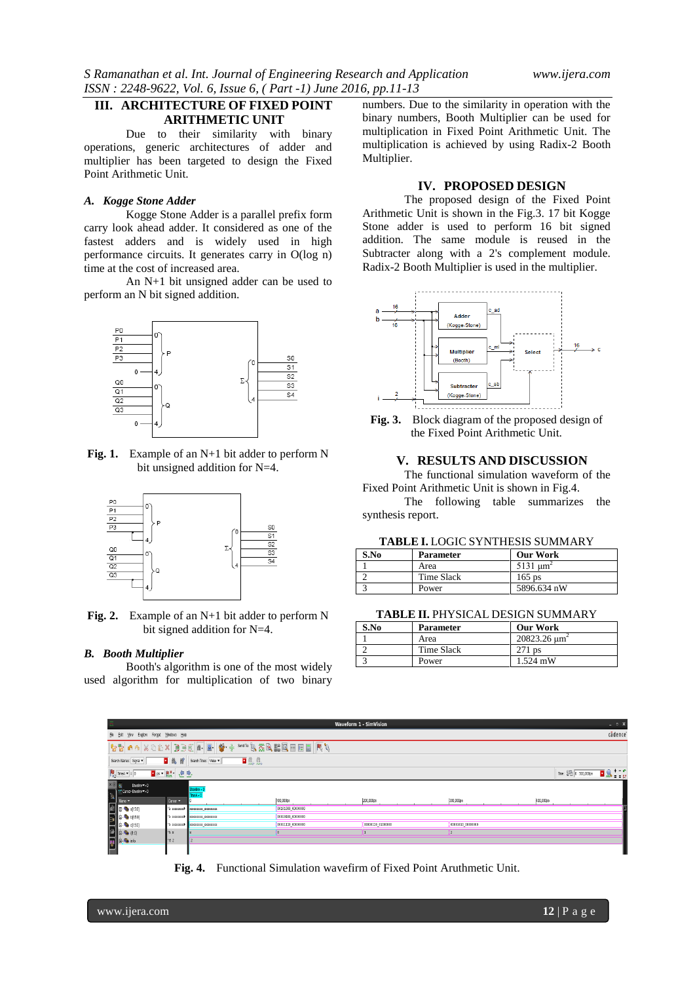# **III. ARCHITECTURE OF FIXED POINT ARITHMETIC UNIT**

Due to their similarity with binary operations, generic architectures of adder and multiplier has been targeted to design the Fixed Point Arithmetic Unit.

## *A. Kogge Stone Adder*

Kogge Stone Adder is a parallel prefix form carry look ahead adder. It considered as one of the fastest adders and is widely used in high performance circuits. It generates carry in O(log n) time at the cost of increased area.

An N+1 bit unsigned adder can be used to perform an N bit signed addition.



**Fig. 1.** Example of an N+1 bit adder to perform N bit unsigned addition for N=4.



**Fig. 2.** Example of an N+1 bit adder to perform N bit signed addition for N=4.

#### *B. Booth Multiplier*

Booth's algorithm is one of the most widely used algorithm for multiplication of two binary numbers. Due to the similarity in operation with the binary numbers, Booth Multiplier can be used for multiplication in Fixed Point Arithmetic Unit. The multiplication is achieved by using Radix-2 Booth Multiplier.

# **IV. PROPOSED DESIGN**

The proposed design of the Fixed Point Arithmetic Unit is shown in the Fig.3. 17 bit Kogge Stone adder is used to perform 16 bit signed addition. The same module is reused in the Subtracter along with a 2's complement module. Radix-2 Booth Multiplier is used in the multiplier.



**Fig. 3.** Block diagram of the proposed design of the Fixed Point Arithmetic Unit.

## **V. RESULTS AND DISCUSSION**

The functional simulation waveform of the Fixed Point Arithmetic Unit is shown in Fig.4. The following table summarizes the

synthesis report.

| S.No | <b>Parameter</b> | <b>Our Work</b>     |
|------|------------------|---------------------|
|      | Area             | $5131 \text{ nm}^2$ |
|      | Time Slack       | $165$ ps            |
|      | Power            | 5896.634 nW         |

#### **TABLE II.** PHYSICAL DESIGN SUMMARY

| S.No | <b>Parameter</b> | <b>Our Work</b>                  |
|------|------------------|----------------------------------|
|      | Area             | $20823.26 \text{ }\mu\text{m}^2$ |
|      | Time Slack       | $271$ ps                         |
|      | Power            | $1.524$ mW                       |



**Fig. 4.** Functional Simulation wavefirm of Fixed Point Aruthmetic Unit.